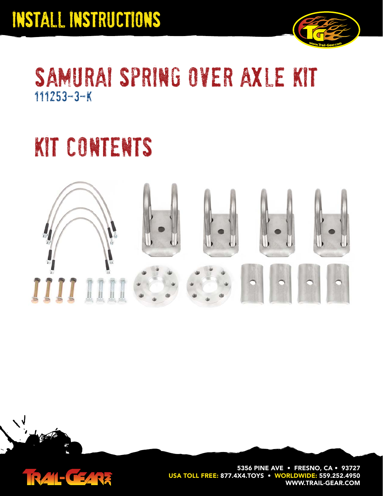

### samurai spring over axle kit 111253-3-K

# kit contents





N

**5356 PINE AVE • FRESNO, CA • 93727 USA TOLL FREE: 877.4X4.TOYS • WORLDWIDE: 559.252.4950 WWW.TRAIL-GEAR.COM**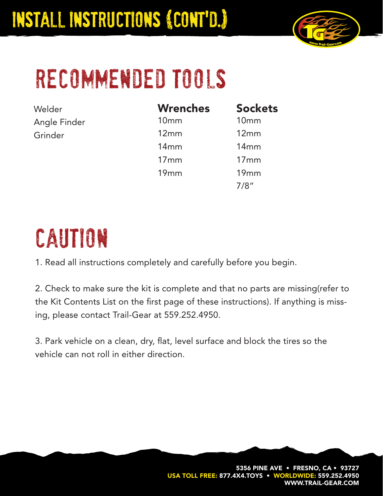

# recommended tools

Welder Angle Finder Grinder

| <b>Wrenches</b>  | <b>Sockets</b> |
|------------------|----------------|
| 10 <sub>mm</sub> | 10mm           |
| 12mm             | 12mm           |
| 14mm             | 14mm           |
| 17mm             | 17mm           |
| 19mm             | 19mm           |
|                  | 7/8″           |

# caution

1. Read all instructions completely and carefully before you begin.

2. Check to make sure the kit is complete and that no parts are missing(refer to the Kit Contents List on the first page of these instructions). If anything is missing, please contact Trail-Gear at 559.252.4950.

3. Park vehicle on a clean, dry, flat, level surface and block the tires so the vehicle can not roll in either direction.

> **5356 PINE AVE • FRESNO, CA • 93727** USA TOLL FREE: 877.4X4.TOYS • WORLDWIDE: 559.252.4 **WWW.TRAIL-GEAR.COM**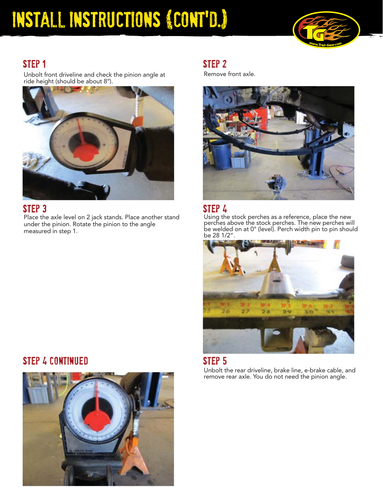## InstalL Instructions (Cont'd.)



### step 1

Unbolt front driveline and check the pinion angle at ride height (should be about 8°).



### STEP<sub>3</sub>

Place the axle level on 2 jack stands. Place another stand under the pinion. Rotate the pinion to the angle measured in step 1.

### step 2

Remove front axle.



### step 4

Using the stock perches as a reference, place the new perches above the stock perches. The new perches will be welded on at 0° (level). Perch width pin to pin should be 28 1/2".



#### step 5

Unbolt the rear driveline, brake line, e-brake cable, and remove rear axle. You do not need the pinion angle.

### step 4 continued

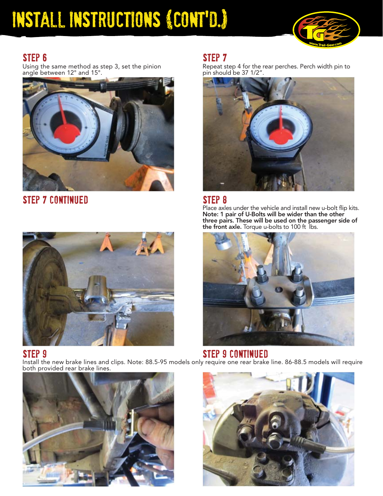### InstalL Instructions (Cont'd.)



### step 6

Using the same method as step 3, set the pinion angle between 12° and 15°.



step 7 continued

### step 7

Repeat step 4 for the rear perches. Perch width pin to pin should be 37 1/2".



#### step 8

Place axles under the vehicle and install new u-bolt flip kits. **Note: 1 pair of U-Bolts will be wider than the other three pairs. These will be used on the passenger side of the front axle.** Torque u-bolts to 100 ft lbs.



#### step 9 step 9 continued and step 9 continued by  $\mathsf{STEP}$  9 continued Install the new brake lines and clips. Note: 88.5-95 models only require one rear brake line. 86-88.5 models will require